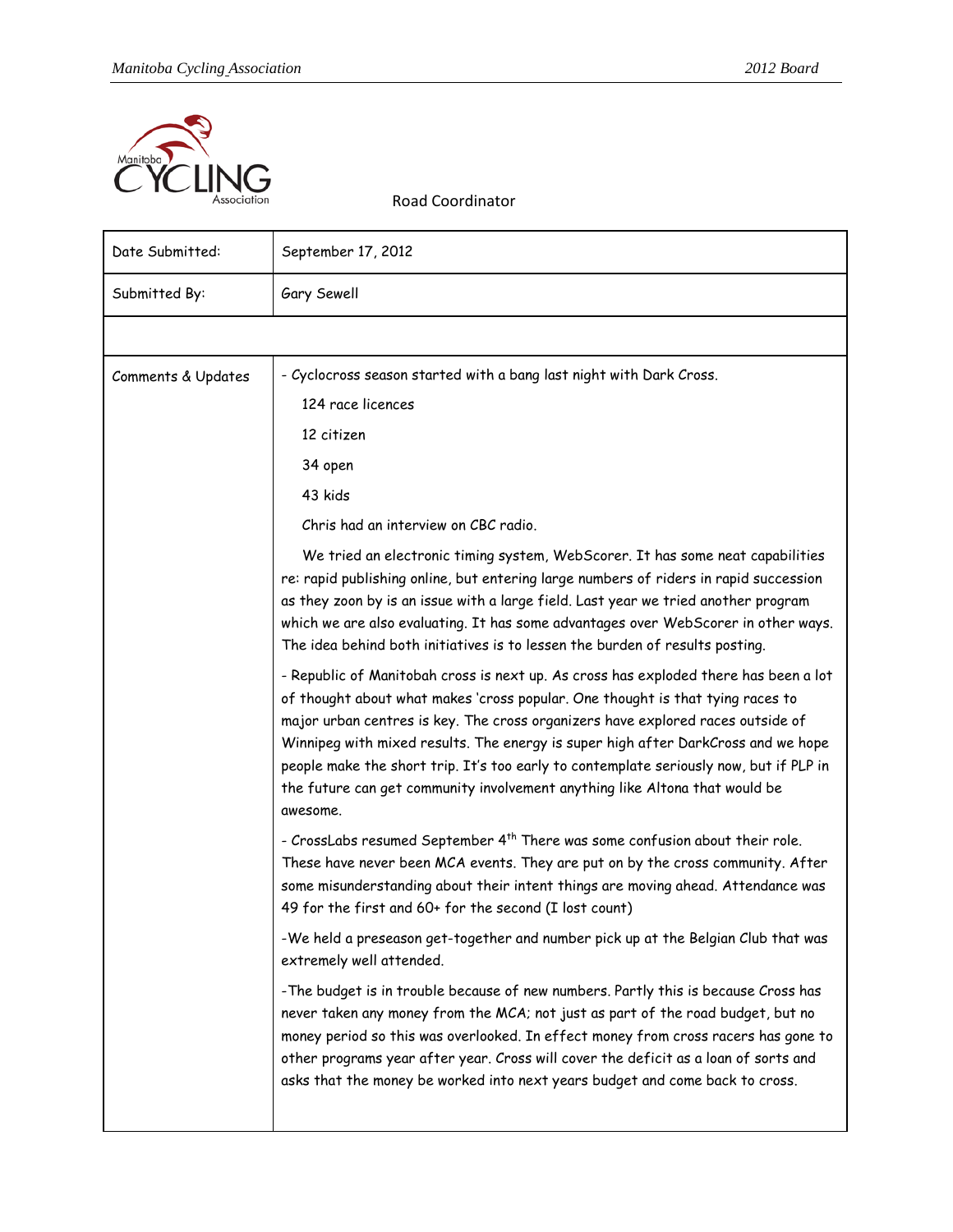

Road Coordinator

| Date Submitted:    | September 17, 2012                                                                                                                                                                                                                                                                                                                                                                                                                                                                                                                                                                                                                                                                                                                                                                    |
|--------------------|---------------------------------------------------------------------------------------------------------------------------------------------------------------------------------------------------------------------------------------------------------------------------------------------------------------------------------------------------------------------------------------------------------------------------------------------------------------------------------------------------------------------------------------------------------------------------------------------------------------------------------------------------------------------------------------------------------------------------------------------------------------------------------------|
| Submitted By:      | Gary Sewell                                                                                                                                                                                                                                                                                                                                                                                                                                                                                                                                                                                                                                                                                                                                                                           |
|                    |                                                                                                                                                                                                                                                                                                                                                                                                                                                                                                                                                                                                                                                                                                                                                                                       |
| Comments & Updates | - Cyclocross season started with a bang last night with Dark Cross.<br>124 race licences<br>12 citizen<br>34 open<br>43 kids<br>Chris had an interview on CBC radio.<br>We tried an electronic timing system, WebScorer. It has some neat capabilities<br>re: rapid publishing online, but entering large numbers of riders in rapid succession<br>as they zoon by is an issue with a large field. Last year we tried another program<br>which we are also evaluating. It has some advantages over WebScorer in other ways.<br>The idea behind both initiatives is to lessen the burden of results posting.<br>- Republic of Manitobah cross is next up. As cross has exploded there has been a lot<br>of thought about what makes 'cross popular. One thought is that tying races to |
|                    | major urban centres is key. The cross organizers have explored races outside of<br>Winnipeg with mixed results. The energy is super high after DarkCross and we hope<br>people make the short trip. It's too early to contemplate seriously now, but if PLP in<br>the future can get community involvement anything like Altona that would be<br>awesome.<br>- CrossLabs resumed September 4 <sup>th</sup> There was some confusion about their role.<br>These have never been MCA events. They are put on by the cross community. After<br>some misunderstanding about their intent things are moving ahead. Attendance was<br>49 for the first and 60+ for the second (I lost count)                                                                                                |
|                    | -We held a preseason get-together and number pick up at the Belgian Club that was<br>extremely well attended.                                                                                                                                                                                                                                                                                                                                                                                                                                                                                                                                                                                                                                                                         |
|                    | -The budget is in trouble because of new numbers. Partly this is because Cross has<br>never taken any money from the MCA; not just as part of the road budget, but no<br>money period so this was overlooked. In effect money from cross racers has gone to<br>other programs year after year. Cross will cover the deficit as a loan of sorts and<br>asks that the money be worked into next years budget and come back to cross.                                                                                                                                                                                                                                                                                                                                                    |